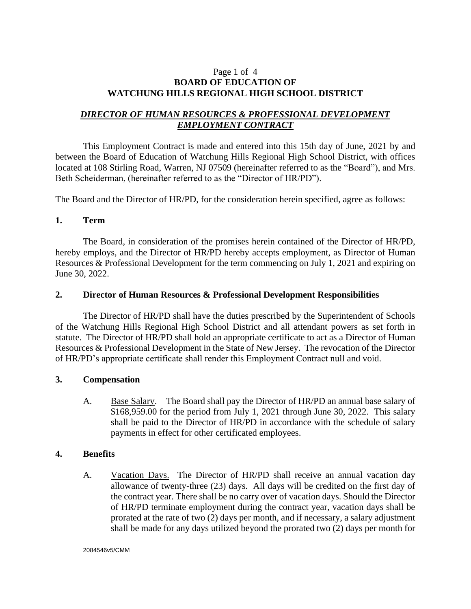# Page 1 of 4 **BOARD OF EDUCATION OF WATCHUNG HILLS REGIONAL HIGH SCHOOL DISTRICT**

# *DIRECTOR OF HUMAN RESOURCES & PROFESSIONAL DEVELOPMENT EMPLOYMENT CONTRACT*

This Employment Contract is made and entered into this 15th day of June, 2021 by and between the Board of Education of Watchung Hills Regional High School District, with offices located at 108 Stirling Road, Warren, NJ 07509 (hereinafter referred to as the "Board"), and Mrs. Beth Scheiderman, (hereinafter referred to as the "Director of HR/PD").

The Board and the Director of HR/PD, for the consideration herein specified, agree as follows:

# **1. Term**

The Board, in consideration of the promises herein contained of the Director of HR/PD, hereby employs, and the Director of HR/PD hereby accepts employment, as Director of Human Resources & Professional Development for the term commencing on July 1, 2021 and expiring on June 30, 2022.

# **2. Director of Human Resources & Professional Development Responsibilities**

The Director of HR/PD shall have the duties prescribed by the Superintendent of Schools of the Watchung Hills Regional High School District and all attendant powers as set forth in statute. The Director of HR/PD shall hold an appropriate certificate to act as a Director of Human Resources & Professional Development in the State of New Jersey. The revocation of the Director of HR/PD's appropriate certificate shall render this Employment Contract null and void.

# **3. Compensation**

A. Base Salary. The Board shall pay the Director of HR/PD an annual base salary of \$168,959.00 for the period from July 1, 2021 through June 30, 2022. This salary shall be paid to the Director of HR/PD in accordance with the schedule of salary payments in effect for other certificated employees.

# **4. Benefits**

A. Vacation Days. The Director of HR/PD shall receive an annual vacation day allowance of twenty-three (23) days. All days will be credited on the first day of the contract year. There shall be no carry over of vacation days. Should the Director of HR/PD terminate employment during the contract year, vacation days shall be prorated at the rate of two (2) days per month, and if necessary, a salary adjustment shall be made for any days utilized beyond the prorated two (2) days per month for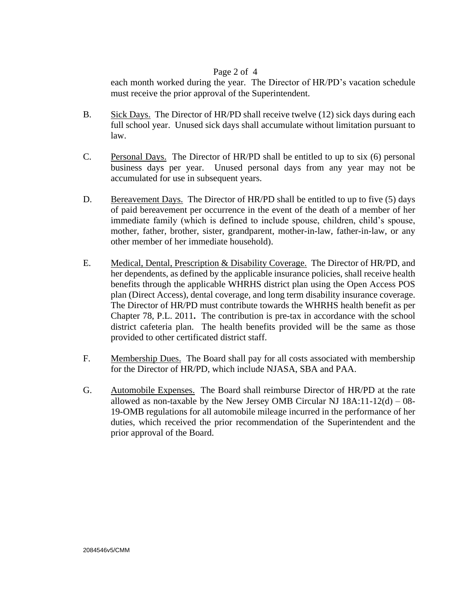# Page 2 of 4

each month worked during the year. The Director of HR/PD's vacation schedule must receive the prior approval of the Superintendent.

- B. Sick Days. The Director of HR/PD shall receive twelve (12) sick days during each full school year. Unused sick days shall accumulate without limitation pursuant to law.
- C. Personal Days. The Director of HR/PD shall be entitled to up to six (6) personal business days per year. Unused personal days from any year may not be accumulated for use in subsequent years.
- D. Bereavement Days. The Director of HR/PD shall be entitled to up to five (5) days of paid bereavement per occurrence in the event of the death of a member of her immediate family (which is defined to include spouse, children, child's spouse, mother, father, brother, sister, grandparent, mother-in-law, father-in-law, or any other member of her immediate household).
- E. Medical, Dental, Prescription & Disability Coverage. The Director of HR/PD, and her dependents, as defined by the applicable insurance policies, shall receive health benefits through the applicable WHRHS district plan using the Open Access POS plan (Direct Access), dental coverage, and long term disability insurance coverage. The Director of HR/PD must contribute towards the WHRHS health benefit as per Chapter 78, P.L. 2011**.** The contribution is pre-tax in accordance with the school district cafeteria plan. The health benefits provided will be the same as those provided to other certificated district staff.
- F. Membership Dues. The Board shall pay for all costs associated with membership for the Director of HR/PD, which include NJASA, SBA and PAA.
- G. Automobile Expenses. The Board shall reimburse Director of HR/PD at the rate allowed as non-taxable by the New Jersey OMB Circular NJ  $18A:11-12(d) - 08-16d$ 19-OMB regulations for all automobile mileage incurred in the performance of her duties, which received the prior recommendation of the Superintendent and the prior approval of the Board.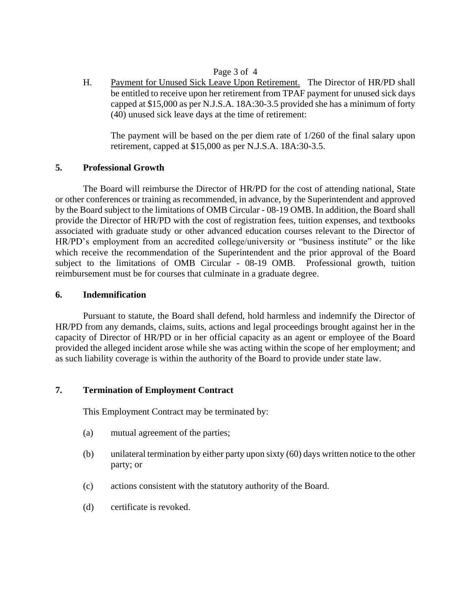# Page 3 of 4

H. Payment for Unused Sick Leave Upon Retirement. The Director of HR/PD shall be entitled to receive upon her retirement from TPAF payment for unused sick days capped at \$15,000 as per N.J.S.A. 18A:30-3.5 provided she has a minimum of forty (40) unused sick leave days at the time of retirement:

The payment will be based on the per diem rate of 1/260 of the final salary upon retirement, capped at \$15,000 as per N.J.S.A. 18A:30-3.5.

# **5. Professional Growth**

The Board will reimburse the Director of HR/PD for the cost of attending national, State or other conferences or training as recommended, in advance, by the Superintendent and approved by the Board subject to the limitations of OMB Circular - 08-19 OMB. In addition, the Board shall provide the Director of HR/PD with the cost of registration fees, tuition expenses, and textbooks associated with graduate study or other advanced education courses relevant to the Director of HR/PD's employment from an accredited college/university or "business institute" or the like which receive the recommendation of the Superintendent and the prior approval of the Board subject to the limitations of OMB Circular - 08-19 OMB. Professional growth, tuition reimbursement must be for courses that culminate in a graduate degree.

# **6. Indemnification**

Pursuant to statute, the Board shall defend, hold harmless and indemnify the Director of HR/PD from any demands, claims, suits, actions and legal proceedings brought against her in the capacity of Director of HR/PD or in her official capacity as an agent or employee of the Board provided the alleged incident arose while she was acting within the scope of her employment; and as such liability coverage is within the authority of the Board to provide under state law.

# **7. Termination of Employment Contract**

This Employment Contract may be terminated by:

- (a) mutual agreement of the parties;
- (b) unilateral termination by either party upon sixty (60) days written notice to the other party; or
- (c) actions consistent with the statutory authority of the Board.
- (d) certificate is revoked.